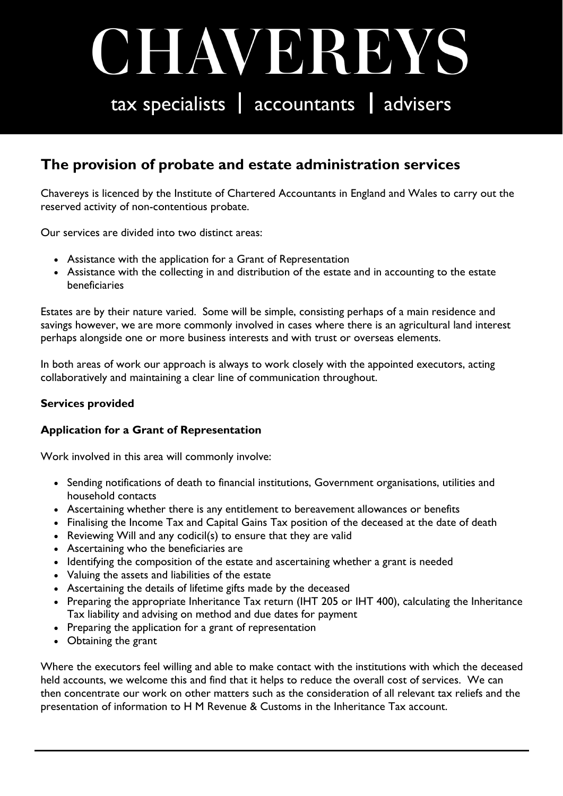# CHAVEREY

tax specialists  $\vert$  accountants  $\vert$  advisers

# **The provision of probate and estate administration services**

Chavereys is licenced by the Institute of Chartered Accountants in England and Wales to carry out the reserved activity of non-contentious probate.

Our services are divided into two distinct areas:

- Assistance with the application for a Grant of Representation
- Assistance with the collecting in and distribution of the estate and in accounting to the estate beneficiaries

Estates are by their nature varied. Some will be simple, consisting perhaps of a main residence and savings however, we are more commonly involved in cases where there is an agricultural land interest perhaps alongside one or more business interests and with trust or overseas elements.

In both areas of work our approach is always to work closely with the appointed executors, acting collaboratively and maintaining a clear line of communication throughout.

#### **Services provided**

#### **Application for a Grant of Representation**

Work involved in this area will commonly involve:

- Sending notifications of death to financial institutions, Government organisations, utilities and household contacts
- Ascertaining whether there is any entitlement to bereavement allowances or benefits
- Finalising the Income Tax and Capital Gains Tax position of the deceased at the date of death
- Reviewing Will and any codicil(s) to ensure that they are valid
- Ascertaining who the beneficiaries are
- Identifying the composition of the estate and ascertaining whether a grant is needed
- Valuing the assets and liabilities of the estate
- Ascertaining the details of lifetime gifts made by the deceased
- Preparing the appropriate Inheritance Tax return (IHT 205 or IHT 400), calculating the Inheritance Tax liability and advising on method and due dates for payment
- Preparing the application for a grant of representation
- Obtaining the grant

Where the executors feel willing and able to make contact with the institutions with which the deceased held accounts, we welcome this and find that it helps to reduce the overall cost of services. We can then concentrate our work on other matters such as the consideration of all relevant tax reliefs and the presentation of information to H M Revenue & Customs in the Inheritance Tax account.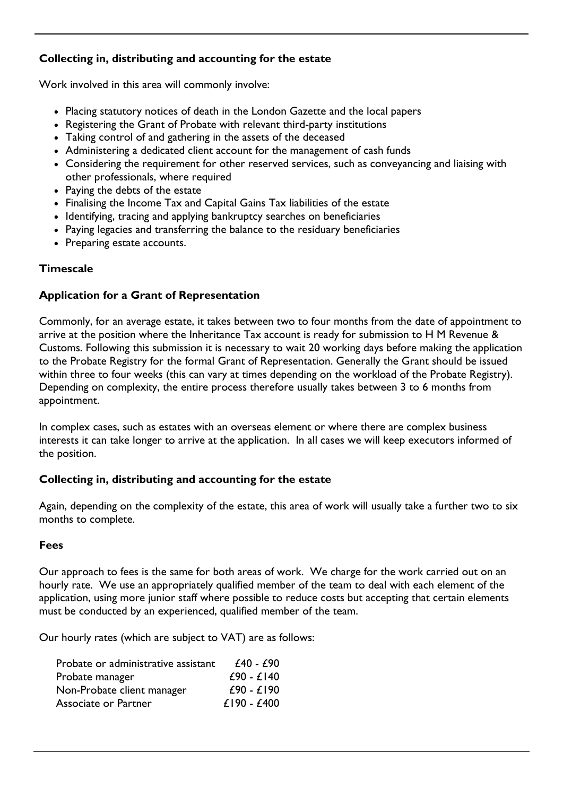# **Collecting in, distributing and accounting for the estate**

Work involved in this area will commonly involve:

- Placing statutory notices of death in the London Gazette and the local papers
- Registering the Grant of Probate with relevant third-party institutions
- Taking control of and gathering in the assets of the deceased
- Administering a dedicated client account for the management of cash funds
- Considering the requirement for other reserved services, such as conveyancing and liaising with other professionals, where required
- Paying the debts of the estate
- Finalising the Income Tax and Capital Gains Tax liabilities of the estate
- Identifying, tracing and applying bankruptcy searches on beneficiaries
- Paying legacies and transferring the balance to the residuary beneficiaries
- Preparing estate accounts.

### **Timescale**

### **Application for a Grant of Representation**

Commonly, for an average estate, it takes between two to four months from the date of appointment to arrive at the position where the Inheritance Tax account is ready for submission to H M Revenue & Customs. Following this submission it is necessary to wait 20 working days before making the application to the Probate Registry for the formal Grant of Representation. Generally the Grant should be issued within three to four weeks (this can vary at times depending on the workload of the Probate Registry). Depending on complexity, the entire process therefore usually takes between 3 to 6 months from appointment.

In complex cases, such as estates with an overseas element or where there are complex business interests it can take longer to arrive at the application. In all cases we will keep executors informed of the position.

#### **Collecting in, distributing and accounting for the estate**

Again, depending on the complexity of the estate, this area of work will usually take a further two to six months to complete.

#### **Fees**

Our approach to fees is the same for both areas of work. We charge for the work carried out on an hourly rate. We use an appropriately qualified member of the team to deal with each element of the application, using more junior staff where possible to reduce costs but accepting that certain elements must be conducted by an experienced, qualified member of the team.

Our hourly rates (which are subject to VAT) are as follows:

| Probate or administrative assistant | £40 - £90    |
|-------------------------------------|--------------|
| Probate manager                     | £90 - $£140$ |
| Non-Probate client manager          | $£90 - £190$ |
| Associate or Partner                | £190 - £400  |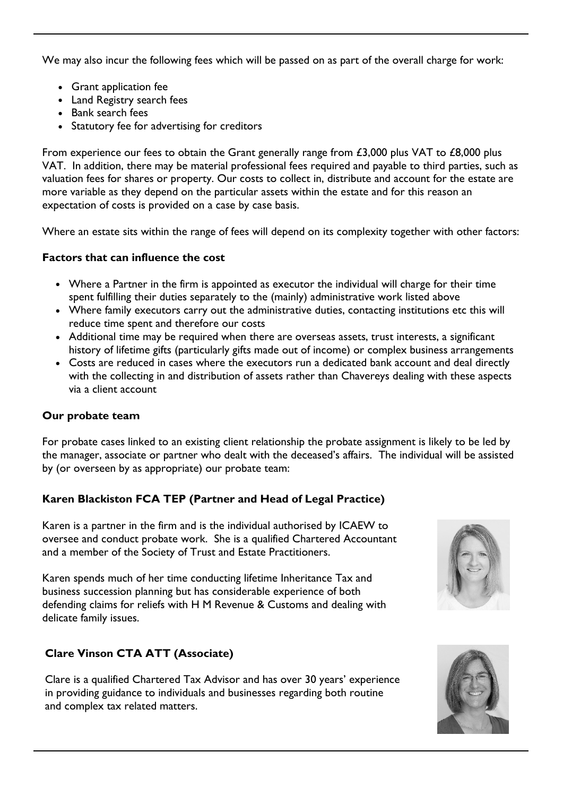We may also incur the following fees which will be passed on as part of the overall charge for work:

- Grant application fee
- Land Registry search fees
- Bank search fees
- Statutory fee for advertising for creditors

From experience our fees to obtain the Grant generally range from £3,000 plus VAT to £8,000 plus VAT. In addition, there may be material professional fees required and payable to third parties, such as valuation fees for shares or property. Our costs to collect in, distribute and account for the estate are more variable as they depend on the particular assets within the estate and for this reason an expectation of costs is provided on a case by case basis.

Where an estate sits within the range of fees will depend on its complexity together with other factors:

### **Factors that can influence the cost**

- Where a Partner in the firm is appointed as executor the individual will charge for their time spent fulfilling their duties separately to the (mainly) administrative work listed above
- Where family executors carry out the administrative duties, contacting institutions etc this will reduce time spent and therefore our costs
- Additional time may be required when there are overseas assets, trust interests, a significant history of lifetime gifts (particularly gifts made out of income) or complex business arrangements
- Costs are reduced in cases where the executors run a dedicated bank account and deal directly with the collecting in and distribution of assets rather than Chavereys dealing with these aspects via a client account

#### **Our probate team**

For probate cases linked to an existing client relationship the probate assignment is likely to be led by the manager, associate or partner who dealt with the deceased's affairs. The individual will be assisted by (or overseen by as appropriate) our probate team:

# **Karen Blackiston FCA TEP (Partner and Head of Legal Practice)**

Karen is a partner in the firm and is the individual authorised by ICAEW to oversee and conduct probate work. She is a qualified Chartered Accountant and a member of the Society of Trust and Estate Practitioners.

Karen spends much of her time conducting lifetime Inheritance Tax and business succession planning but has considerable experience of both defending claims for reliefs with H M Revenue & Customs and dealing with delicate family issues.

# **Clare Vinson CTA ATT (Associate)**

Clare is a qualified Chartered Tax Advisor and has over 30 years' experience in providing guidance to individuals and businesses regarding both routine and complex tax related matters.